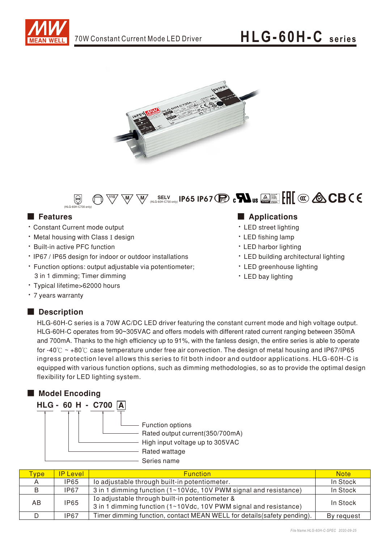





- Constant Current mode output
- Metal housing with Class I design
- Built-in active PFC function
- IP67 / IP65 design for indoor or outdoor installations
- Function options: output adjustable via potentiometer; 3 in 1 dimming; Timer dimming
- Typical lifetime>62000 hours
- 7 years warranty

## Description

## ■ Features ■ Particular and Particular and Particular and Particular and Particular and Particular and Particular and Particular and Particular and Particular and Particular and Particular and Particular and Particular an

- LED street lighting
- LED fishing lamp
- LED harbor lighting
- LED building architectural lighting
- LED greenhouse lighting
- LED bay lighting

HLG-60H-C series is a 70W AC/DC LED driver featuring the constant current mode and high voltage output. HLG-60H-C operates from 90~305VAC and offers models with different rated current ranging between 350mA and 700mA. Thanks to the high efficiency up to 91%, with the fanless design, the entire series is able to operate for -40° $\degree$  ~ +80° $\degree$  case temperature under free air convection. The design of metal housing and IP67/IP65 ingress protection level allows this series to fit both indoor and outdoor applications. HLG-60H-C is equipped with various function options, such as dimming methodologies, so as to provide the optimal design flexibility for LED lighting system.



| <b>vpe</b> | <b>P</b> Level | <b>Function</b>                                                                                                    | <b>Note</b> |
|------------|----------------|--------------------------------------------------------------------------------------------------------------------|-------------|
|            | <b>IP65</b>    | lo adjustable through built-in potentiometer.                                                                      | In Stock    |
| B          | <b>IP67</b>    | 3 in 1 dimming function (1~10Vdc, 10V PWM signal and resistance)                                                   | In Stock    |
| AB         | <b>IP65</b>    | Io adjustable through built-in potentiometer &<br>3 in 1 dimming function (1~10Vdc, 10V PWM signal and resistance) | In Stock    |
|            | <b>IP67</b>    | Timer dimming function, contact MEAN WELL for details (safety pending).                                            | By request  |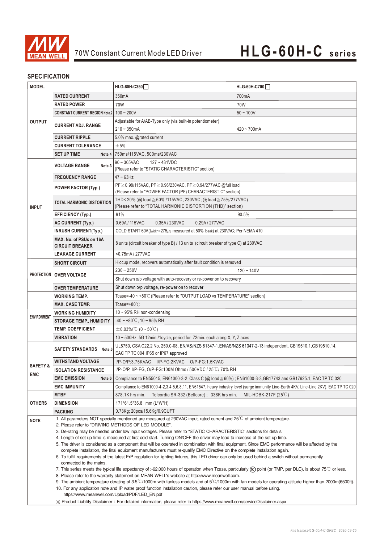

## **SPECIFICATION**

| <b>MODEL</b>                                                                   |                                                   | HLG-60H-C350                                                                                                                                                                                                                                                                      | HLG-60H-C700                                                                                                                        |  |
|--------------------------------------------------------------------------------|---------------------------------------------------|-----------------------------------------------------------------------------------------------------------------------------------------------------------------------------------------------------------------------------------------------------------------------------------|-------------------------------------------------------------------------------------------------------------------------------------|--|
| <b>RATED CURRENT</b>                                                           |                                                   | 350mA                                                                                                                                                                                                                                                                             | 700mA                                                                                                                               |  |
|                                                                                | <b>RATED POWER</b>                                | 70W                                                                                                                                                                                                                                                                               | 70W                                                                                                                                 |  |
| <b>CONSTANT CURRENT REGION Note.2</b>                                          |                                                   | $100 - 200V$                                                                                                                                                                                                                                                                      | $50 - 100V$                                                                                                                         |  |
| <b>OUTPUT</b>                                                                  |                                                   | Adjustable for A/AB-Type only (via built-in potentiometer)                                                                                                                                                                                                                        |                                                                                                                                     |  |
| <b>CURRENT ADJ. RANGE</b><br><b>CURRENT RIPPLE</b><br><b>CURRENT TOLERANCE</b> |                                                   | $210 - 350mA$                                                                                                                                                                                                                                                                     | $420 - 700$ mA                                                                                                                      |  |
|                                                                                |                                                   | 5.0% max. @rated current                                                                                                                                                                                                                                                          |                                                                                                                                     |  |
|                                                                                |                                                   | ±5%                                                                                                                                                                                                                                                                               |                                                                                                                                     |  |
| <b>SET UP TIME</b>                                                             |                                                   | Note.4 750ms/115VAC, 500ms/230VAC                                                                                                                                                                                                                                                 |                                                                                                                                     |  |
| <b>VOLTAGE RANGE</b><br>Note.3                                                 |                                                   | $90 \sim 305$ VAC<br>$127 - 431VDC$                                                                                                                                                                                                                                               |                                                                                                                                     |  |
|                                                                                |                                                   | (Please refer to "STATIC CHARACTERISTIC" section)                                                                                                                                                                                                                                 |                                                                                                                                     |  |
|                                                                                | <b>FREQUENCY RANGE</b>                            | $47 \sim 63$ Hz                                                                                                                                                                                                                                                                   |                                                                                                                                     |  |
|                                                                                | <b>POWER FACTOR (Typ.)</b>                        | PF≥0.98/115VAC, PF≥0.96/230VAC, PF≥0.94/277VAC @full load<br>(Please refer to "POWER FACTOR (PF) CHARACTERISTIC" section)                                                                                                                                                         |                                                                                                                                     |  |
|                                                                                |                                                   | THD<20% (@ load≧60% /115VAC, 230VAC; @ load≧75%/277VAC)                                                                                                                                                                                                                           |                                                                                                                                     |  |
| <b>INPUT</b>                                                                   | <b>TOTAL HARMONIC DISTORTION</b>                  | (Please refer to "TOTAL HARMONIC DISTORTION (THD)" section)                                                                                                                                                                                                                       |                                                                                                                                     |  |
|                                                                                | EFFICIENCY (Typ.)                                 | 91%                                                                                                                                                                                                                                                                               | 90.5%                                                                                                                               |  |
|                                                                                | <b>AC CURRENT (Typ.)</b>                          | 0.69A / 115VAC<br>0.35A/230VAC<br>0.29A / 277VAC                                                                                                                                                                                                                                  |                                                                                                                                     |  |
|                                                                                | <b>INRUSH CURRENT(Typ.)</b>                       | COLD START 60A(twidth=275µs measured at 50% Ipeak) at 230VAC; Per NEMA 410                                                                                                                                                                                                        |                                                                                                                                     |  |
|                                                                                | MAX. No. of PSUs on 16A<br><b>CIRCUIT BREAKER</b> | 8 units (circuit breaker of type B) / 13 units (circuit breaker of type C) at 230VAC                                                                                                                                                                                              |                                                                                                                                     |  |
|                                                                                | <b>LEAKAGE CURRENT</b>                            | <0.75mA/277VAC                                                                                                                                                                                                                                                                    |                                                                                                                                     |  |
| <b>SHORT CIRCUIT</b>                                                           |                                                   | Hiccup mode, recovers automatically after fault condition is removed                                                                                                                                                                                                              |                                                                                                                                     |  |
|                                                                                |                                                   | $230 - 250V$                                                                                                                                                                                                                                                                      | $120 - 140V$                                                                                                                        |  |
| PROTECTION                                                                     | <b>OVER VOLTAGE</b>                               | Shut down o/p voltage with auto-recovery or re-power on to recovery                                                                                                                                                                                                               |                                                                                                                                     |  |
|                                                                                | <b>OVER TEMPERATURE</b>                           | Shut down o/p voltage, re-power on to recover                                                                                                                                                                                                                                     |                                                                                                                                     |  |
| <b>WORKING TEMP.</b>                                                           |                                                   | Tcase=-40 ~ +80℃ (Please refer to "OUTPUT LOAD vs TEMPERATURE" section)                                                                                                                                                                                                           |                                                                                                                                     |  |
|                                                                                |                                                   |                                                                                                                                                                                                                                                                                   |                                                                                                                                     |  |
|                                                                                | <b>MAX. CASE TEMP.</b>                            | Tcase=+80 $°C$                                                                                                                                                                                                                                                                    |                                                                                                                                     |  |
|                                                                                | <b>WORKING HUMIDITY</b>                           | $10 \sim 95\%$ RH non-condensing                                                                                                                                                                                                                                                  |                                                                                                                                     |  |
| <b>ENVIRONMENT</b>                                                             | <b>STORAGE TEMP., HUMIDITY</b>                    | $-40 \sim +80^{\circ}$ C, 10 ~ 95% RH                                                                                                                                                                                                                                             |                                                                                                                                     |  |
|                                                                                | <b>TEMP. COEFFICIENT</b>                          | $\pm$ 0.03%/°C (0~50°C)                                                                                                                                                                                                                                                           |                                                                                                                                     |  |
|                                                                                | <b>VIBRATION</b>                                  | 10 $\sim$ 500Hz, 5G 12min./1cycle, period for 72min. each along X, Y, Z axes                                                                                                                                                                                                      |                                                                                                                                     |  |
|                                                                                | <b>SAFETY STANDARDS</b> Note.6                    | UL8750, CSA C22.2 No. 250.0-08, EN/AS/NZS 61347-1, EN/AS/NZS 61347-2-13 independent, GB19510.1, GB19510.14,                                                                                                                                                                       |                                                                                                                                     |  |
|                                                                                |                                                   | EAC TP TC 004, IP65 or IP67 approved                                                                                                                                                                                                                                              |                                                                                                                                     |  |
| <b>SAFETY &amp;</b>                                                            | WITHSTAND VOLTAGE                                 | I/P-O/P:3.75KVAC I/P-FG:2KVAC O/P-FG:1.5KVAC                                                                                                                                                                                                                                      |                                                                                                                                     |  |
| <b>EMC</b>                                                                     | <b>ISOLATION RESISTANCE</b>                       | I/P-O/P, I/P-FG, O/P-FG:100M Ohms / 500VDC / 25°C/70% RH                                                                                                                                                                                                                          |                                                                                                                                     |  |
|                                                                                | <b>EMC EMISSION</b><br>Note.6                     | Compliance to EN55015, EN61000-3-2 Class C (@ load $\geq$ 60%); EN61000-3-3, GB17743 and GB17625.1, EAC TP TC 020                                                                                                                                                                 |                                                                                                                                     |  |
|                                                                                | <b>EMC IMMUNITY</b>                               |                                                                                                                                                                                                                                                                                   | Compliance to EN61000-4-2,3,4,5,6,8,11, EN61547, heavy industry level (surge immunity Line-Earth 4KV, Line-Line 2KV), EAC TP TC 020 |  |
|                                                                                | <b>MTBF</b>                                       | Telcordia SR-332 (Bellcore); 338K hrs min.<br>878.1K hrs min.                                                                                                                                                                                                                     | MIL-HDBK-217F (25 $\degree$ C)                                                                                                      |  |
| <b>OTHERS</b>                                                                  | <b>DIMENSION</b>                                  | 171*61.5*36.8 mm (L*W*H)                                                                                                                                                                                                                                                          |                                                                                                                                     |  |
|                                                                                | <b>PACKING</b>                                    | 0.73Kg; 20pcs/15.6Kg/0.9CUFT                                                                                                                                                                                                                                                      |                                                                                                                                     |  |
| <b>NOTE</b>                                                                    |                                                   | 1. All parameters NOT specially mentioned are measured at 230VAC input, rated current and $25^{\circ}$ C of ambient temperature.<br>2. Please refer to "DRIVING METHODS OF LED MODULE".                                                                                           |                                                                                                                                     |  |
|                                                                                |                                                   | 3. De-rating may be needed under low input voltages. Please refer to "STATIC CHARACTERISTIC" sections for details.                                                                                                                                                                |                                                                                                                                     |  |
|                                                                                |                                                   | 4. Length of set up time is measured at first cold start. Turning ON/OFF the driver may lead to increase of the set up time.                                                                                                                                                      |                                                                                                                                     |  |
|                                                                                |                                                   | 5. The driver is considered as a component that will be operated in combination with final equipment. Since EMC performance will be affected by the<br>complete installation, the final equipment manufacturers must re-qualify EMC Directive on the complete installation again. |                                                                                                                                     |  |
|                                                                                |                                                   | 6. To fulfill requirements of the latest ErP regulation for lighting fixtures, this LED driver can only be used behind a switch without permanently                                                                                                                               |                                                                                                                                     |  |
|                                                                                | connected to the mains.                           |                                                                                                                                                                                                                                                                                   |                                                                                                                                     |  |
|                                                                                |                                                   | 7. This series meets the typical life expectancy of >62,000 hours of operation when Tcase, particularly (tc) point (or TMP, per DLC), is about 75°C or less.<br>8. Please refer to the warranty statement on MEAN WELL's website at http://www.meanwell.com.                      |                                                                                                                                     |  |
|                                                                                |                                                   | 9. The ambient temperature derating of $3.5^{\circ}$ C/1000m with fanless models and of $5^{\circ}$ C/1000m with fan models for operating altitude higher than 2000m(6500ft).                                                                                                     |                                                                                                                                     |  |
|                                                                                | https://www.meanwell.com/Upload/PDF/LED_EN.pdf    | 10. For any application note and IP water proof function installation caution, please refer our user manual before using.                                                                                                                                                         |                                                                                                                                     |  |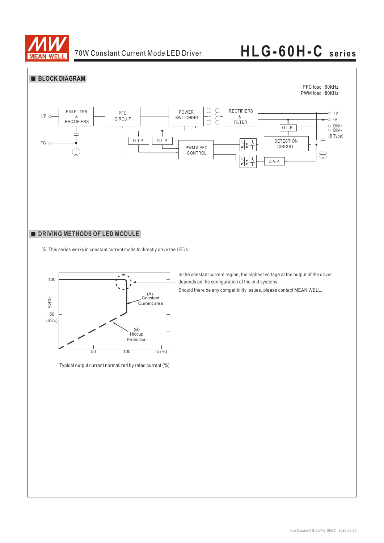



### **DRIVING METHODS OF LED MODULE**

※ This series works in constant current mode to directly drive the LEDs.



Typical output current normalized by rated current (%)

In the constant current region, the highest voltage at the output of the driver depends on the configuration of the end systems.

Should there be any compatibility issues, please contact MEAN WELL.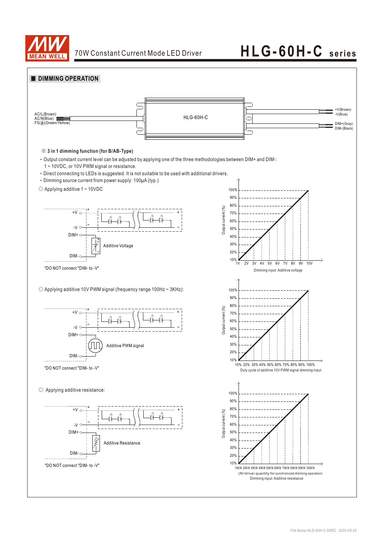

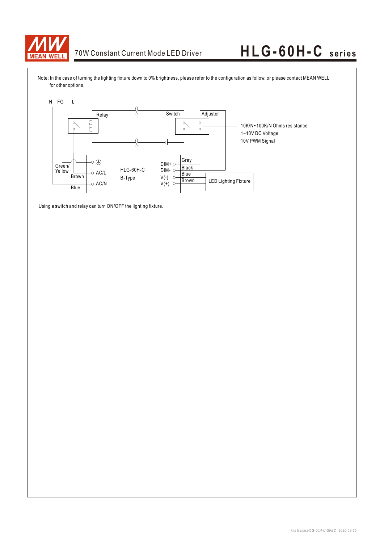

Note: In the case of turning the lighting fixture down to 0% brightness, please refer to the configuration as follow, or please contact MEAN WELL for other options.



Using a switch and relay can turn ON/OFF the lighting fixture.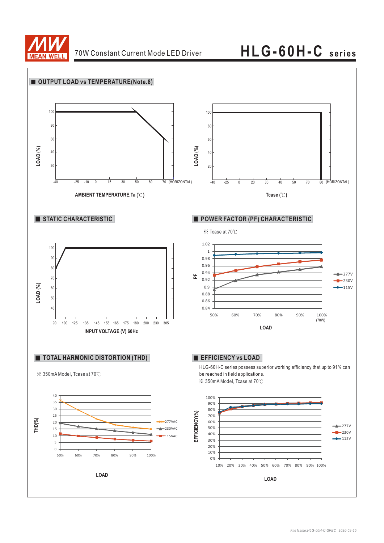

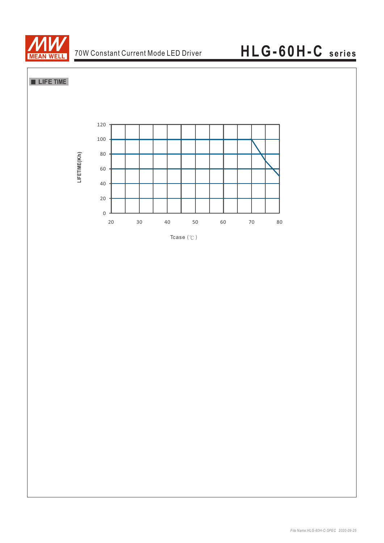

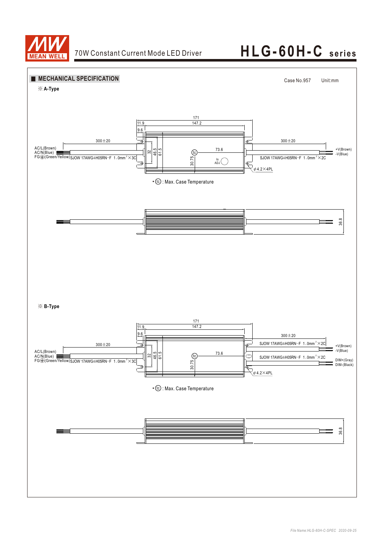

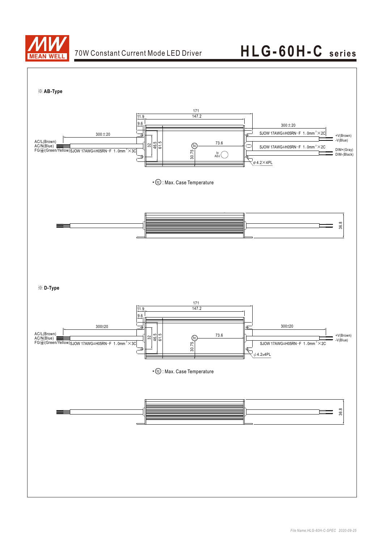